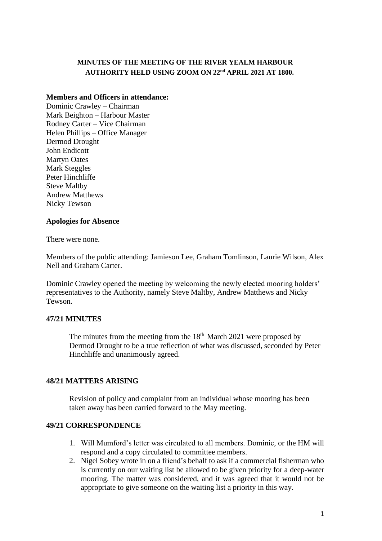## **MINUTES OF THE MEETING OF THE RIVER YEALM HARBOUR AUTHORITY HELD USING ZOOM ON 22nd APRIL 2021 AT 1800.**

## **Members and Officers in attendance:**

Dominic Crawley – Chairman Mark Beighton – Harbour Master Rodney Carter – Vice Chairman Helen Phillips – Office Manager Dermod Drought John Endicott Martyn Oates Mark Steggles Peter Hinchliffe Steve Maltby Andrew Matthews Nicky Tewson

## **Apologies for Absence**

There were none.

Members of the public attending: Jamieson Lee, Graham Tomlinson, Laurie Wilson, Alex Nell and Graham Carter.

Dominic Crawley opened the meeting by welcoming the newly elected mooring holders' representatives to the Authority, namely Steve Maltby, Andrew Matthews and Nicky Tewson.

## **47/21 MINUTES**

The minutes from the meeting from the  $18<sup>th</sup>$  March 2021 were proposed by Dermod Drought to be a true reflection of what was discussed, seconded by Peter Hinchliffe and unanimously agreed.

## **48/21 MATTERS ARISING**

Revision of policy and complaint from an individual whose mooring has been taken away has been carried forward to the May meeting.

## **49/21 CORRESPONDENCE**

- 1. Will Mumford's letter was circulated to all members. Dominic, or the HM will respond and a copy circulated to committee members.
- 2. Nigel Sobey wrote in on a friend's behalf to ask if a commercial fisherman who is currently on our waiting list be allowed to be given priority for a deep-water mooring. The matter was considered, and it was agreed that it would not be appropriate to give someone on the waiting list a priority in this way.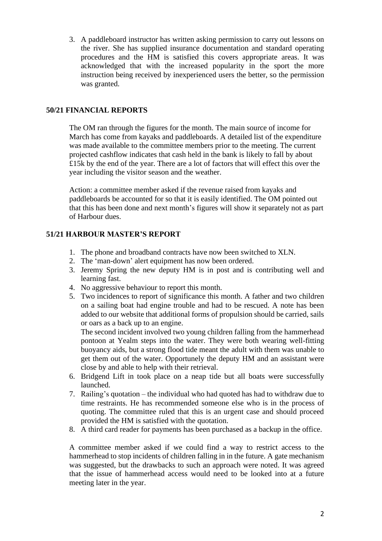3. A paddleboard instructor has written asking permission to carry out lessons on the river. She has supplied insurance documentation and standard operating procedures and the HM is satisfied this covers appropriate areas. It was acknowledged that with the increased popularity in the sport the more instruction being received by inexperienced users the better, so the permission was granted.

## **50/21 FINANCIAL REPORTS**

The OM ran through the figures for the month. The main source of income for March has come from kayaks and paddleboards. A detailed list of the expenditure was made available to the committee members prior to the meeting. The current projected cashflow indicates that cash held in the bank is likely to fall by about £15k by the end of the year. There are a lot of factors that will effect this over the year including the visitor season and the weather.

Action: a committee member asked if the revenue raised from kayaks and paddleboards be accounted for so that it is easily identified. The OM pointed out that this has been done and next month's figures will show it separately not as part of Harbour dues.

# **51/21 HARBOUR MASTER'S REPORT**

- 1. The phone and broadband contracts have now been switched to XLN.
- 2. The 'man-down' alert equipment has now been ordered.
- 3. Jeremy Spring the new deputy HM is in post and is contributing well and learning fast.
- 4. No aggressive behaviour to report this month.
- 5. Two incidences to report of significance this month. A father and two children on a sailing boat had engine trouble and had to be rescued. A note has been added to our website that additional forms of propulsion should be carried, sails or oars as a back up to an engine.

The second incident involved two young children falling from the hammerhead pontoon at Yealm steps into the water. They were both wearing well-fitting buoyancy aids, but a strong flood tide meant the adult with them was unable to get them out of the water. Opportunely the deputy HM and an assistant were close by and able to help with their retrieval.

- 6. Bridgend Lift in took place on a neap tide but all boats were successfully launched.
- 7. Railing's quotation the individual who had quoted has had to withdraw due to time restraints. He has recommended someone else who is in the process of quoting. The committee ruled that this is an urgent case and should proceed provided the HM is satisfied with the quotation.
- 8. A third card reader for payments has been purchased as a backup in the office.

A committee member asked if we could find a way to restrict access to the hammerhead to stop incidents of children falling in in the future. A gate mechanism was suggested, but the drawbacks to such an approach were noted. It was agreed that the issue of hammerhead access would need to be looked into at a future meeting later in the year.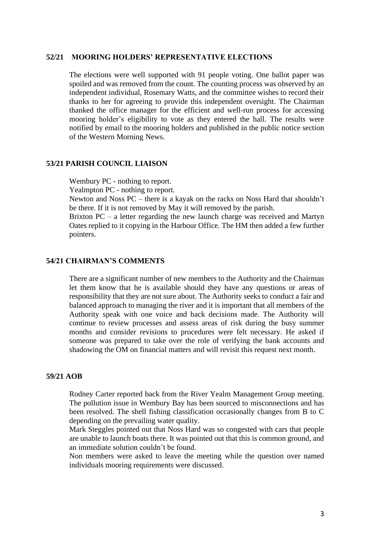## **52/21 MOORING HOLDERS' REPRESENTATIVE ELECTIONS**

The elections were well supported with 91 people voting. One ballot paper was spoiled and was removed from the count. The counting process was observed by an independent individual, Rosemary Watts, and the committee wishes to record their thanks to her for agreeing to provide this independent oversight. The Chairman thanked the office manager for the efficient and well-run process for accessing mooring holder's eligibility to vote as they entered the hall. The results were notified by email to the mooring holders and published in the public notice section of the Western Morning News.

#### **53/21 PARISH COUNCIL LIAISON**

Wembury PC - nothing to report.

Yealmpton PC - nothing to report.

Newton and Noss PC – there is a kayak on the racks on Noss Hard that shouldn't be there. If it is not removed by May it will removed by the parish.

Brixton PC – a letter regarding the new launch charge was received and Martyn Oates replied to it copying in the Harbour Office. The HM then added a few further pointers.

## **54/21 CHAIRMAN'S COMMENTS**

There are a significant number of new members to the Authority and the Chairman let them know that he is available should they have any questions or areas of responsibility that they are not sure about. The Authority seeks to conduct a fair and balanced approach to managing the river and it is important that all members of the Authority speak with one voice and back decisions made. The Authority will continue to review processes and assess areas of risk during the busy summer months and consider revisions to procedures were felt necessary. He asked if someone was prepared to take over the role of verifying the bank accounts and shadowing the OM on financial matters and will revisit this request next month.

#### **59/21 AOB**

Rodney Carter reported back from the River Yealm Management Group meeting. The pollution issue in Wembury Bay has been sourced to misconnections and has been resolved. The shell fishing classification occasionally changes from B to C depending on the prevailing water quality.

Mark Steggles pointed out that Noss Hard was so congested with cars that people are unable to launch boats there. It was pointed out that this is common ground, and an immediate solution couldn't be found.

Non members were asked to leave the meeting while the question over named individuals mooring requirements were discussed.